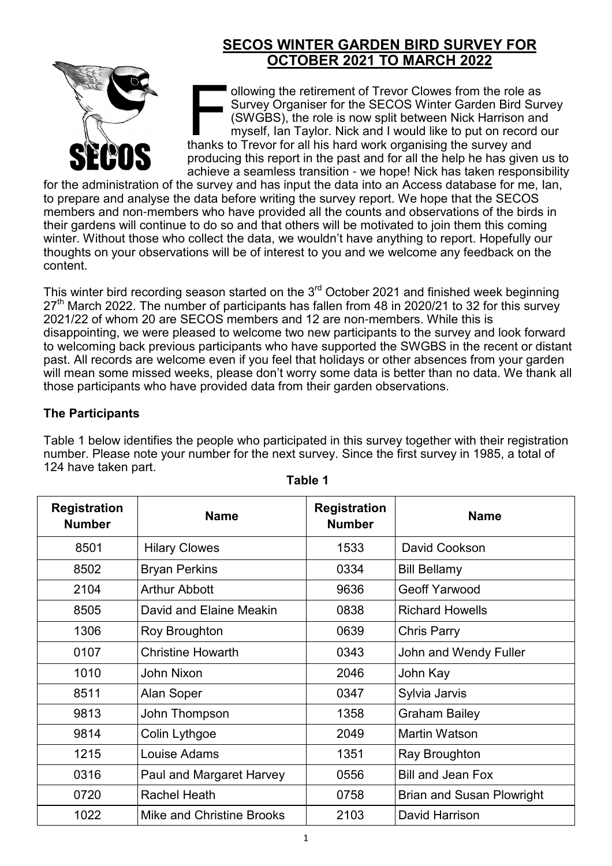# **SECOS WINTER GARDEN BIRD SURVEY FOR OCTOBER 2021 TO MARCH 2022**



In all owing the retirement of Trevor Clowes from the role a<br>Survey Organiser for the SECOS Winter Garden Bird Survey Organiser for the SECOS Winter Garden Bird Survey and<br>In all his hard work organising the survey and<br>tha ollowing the retirement of Trevor Clowes from the role as Survey Organiser for the SECOS Winter Garden Bird Survey (SWGBS), the role is now split between Nick Harrison and myself, Ian Taylor. Nick and I would like to put on record our producing this report in the past and for all the help he has given us to achieve a seamless transition - we hope! Nick has taken responsibility

for the administration of the survey and has input the data into an Access database for me, Ian, to prepare and analyse the data before writing the survey report. We hope that the SECOS members and non-members who have provided all the counts and observations of the birds in their gardens will continue to do so and that others will be motivated to join them this coming winter. Without those who collect the data, we wouldn't have anything to report. Hopefully our thoughts on your observations will be of interest to you and we welcome any feedback on the content.

This winter bird recording season started on the  $3<sup>rd</sup>$  October 2021 and finished week beginning  $27<sup>th</sup>$  March 2022. The number of participants has fallen from 48 in 2020/21 to 32 for this survey 2021/22 of whom 20 are SECOS members and 12 are non-members. While this is disappointing, we were pleased to welcome two new participants to the survey and look forward to welcoming back previous participants who have supported the SWGBS in the recent or distant past. All records are welcome even if you feel that holidays or other absences from your garden will mean some missed weeks, please don't worry some data is better than no data. We thank all those participants who have provided data from their garden observations.

# **The Participants**

Table 1 below identifies the people who participated in this survey together with their registration number. Please note your number for the next survey. Since the first survey in 1985, a total of 124 have taken part.

| <b>Registration</b><br><b>Number</b> | <b>Name</b>                      | <b>Registration</b><br><b>Number</b> | <b>Name</b>                      |  |
|--------------------------------------|----------------------------------|--------------------------------------|----------------------------------|--|
| 8501                                 | <b>Hilary Clowes</b>             | 1533                                 | David Cookson                    |  |
| 8502                                 | <b>Bryan Perkins</b>             | 0334                                 | <b>Bill Bellamy</b>              |  |
| 2104                                 | <b>Arthur Abbott</b>             | 9636                                 | <b>Geoff Yarwood</b>             |  |
| 8505                                 | David and Elaine Meakin          | 0838                                 | <b>Richard Howells</b>           |  |
| 1306                                 | Roy Broughton                    | 0639                                 | <b>Chris Parry</b>               |  |
| 0107                                 | <b>Christine Howarth</b>         | 0343                                 | John and Wendy Fuller            |  |
| 1010                                 | <b>John Nixon</b>                | 2046                                 | John Kay                         |  |
| 8511                                 | <b>Alan Soper</b>                | 0347                                 | Sylvia Jarvis                    |  |
| 9813                                 | John Thompson                    | 1358                                 | <b>Graham Bailey</b>             |  |
| 9814                                 | Colin Lythgoe                    | 2049                                 | <b>Martin Watson</b>             |  |
| 1215                                 | Louise Adams                     | 1351                                 | Ray Broughton                    |  |
| 0316                                 | Paul and Margaret Harvey         | 0556                                 | <b>Bill and Jean Fox</b>         |  |
| 0720                                 | <b>Rachel Heath</b>              | 0758                                 | <b>Brian and Susan Plowright</b> |  |
| 1022                                 | <b>Mike and Christine Brooks</b> | 2103                                 | David Harrison                   |  |

**Table 1**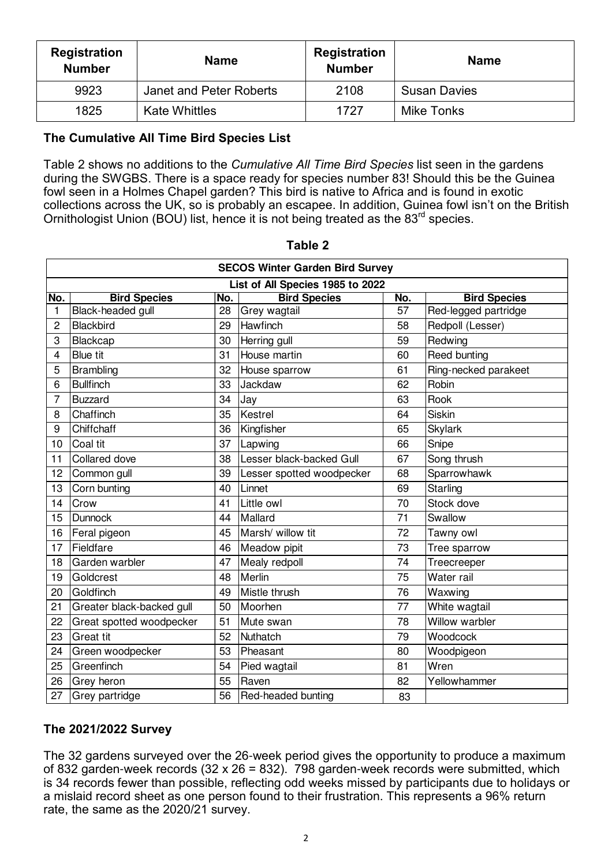| <b>Registration</b><br><b>Number</b> | <b>Name</b>             | <b>Registration</b><br><b>Number</b> | <b>Name</b>         |  |
|--------------------------------------|-------------------------|--------------------------------------|---------------------|--|
| 9923                                 | Janet and Peter Roberts | 2108                                 | <b>Susan Davies</b> |  |
| 1825                                 | <b>Kate Whittles</b>    | 1727                                 | Mike Tonks          |  |

### **The Cumulative All Time Bird Species List**

Table 2 shows no additions to the *Cumulative All Time Bird Species* list seen in the gardens during the SWGBS. There is a space ready for species number 83! Should this be the Guinea fowl seen in a Holmes Chapel garden? This bird is native to Africa and is found in exotic collections across the UK, so is probably an escapee. In addition, Guinea fowl isn't on the British Ornithologist Union (BOU) list, hence it is not being treated as the 83<sup>rd</sup> species.

| <b>SECOS Winter Garden Bird Survey</b> |                                  |    |                           |     |                      |  |
|----------------------------------------|----------------------------------|----|---------------------------|-----|----------------------|--|
|                                        | List of All Species 1985 to 2022 |    |                           |     |                      |  |
| No.                                    | <b>Bird Species</b><br>No.       |    | <b>Bird Species</b>       | No. | <b>Bird Species</b>  |  |
| 1                                      | Black-headed gull                | 28 | Grey wagtail              | 57  | Red-legged partridge |  |
| 2                                      | Blackbird                        | 29 | Hawfinch                  | 58  | Redpoll (Lesser)     |  |
| 3                                      | Blackcap                         | 30 | Herring gull              | 59  | Redwing              |  |
| 4                                      | <b>Blue tit</b>                  | 31 | House martin              | 60  | Reed bunting         |  |
| 5                                      | Brambling                        | 32 | House sparrow             | 61  | Ring-necked parakeet |  |
| 6                                      | <b>Bullfinch</b>                 | 33 | Jackdaw                   | 62  | Robin                |  |
| 7                                      | <b>Buzzard</b>                   | 34 | Jay                       | 63  | Rook                 |  |
| 8                                      | Chaffinch                        | 35 | Kestrel                   | 64  | Siskin               |  |
| 9                                      | Chiffchaff                       | 36 | Kingfisher                | 65  | <b>Skylark</b>       |  |
| 10                                     | Coal tit                         | 37 | Lapwing                   | 66  | Snipe                |  |
| 11                                     | Collared dove                    | 38 | Lesser black-backed Gull  | 67  | Song thrush          |  |
| 12                                     | Common gull                      | 39 | Lesser spotted woodpecker | 68  | Sparrowhawk          |  |
| 13                                     | Corn bunting                     | 40 | Linnet                    | 69  | Starling             |  |
| 14                                     | Crow                             | 41 | Little owl                | 70  | Stock dove           |  |
| 15                                     | Dunnock                          | 44 | Mallard                   | 71  | Swallow              |  |
| 16                                     | Feral pigeon                     | 45 | Marsh/ willow tit         | 72  | Tawny owl            |  |
| 17                                     | Fieldfare                        | 46 | Meadow pipit              | 73  | Tree sparrow         |  |
| 18                                     | Garden warbler                   | 47 | Mealy redpoll             | 74  | Treecreeper          |  |
| 19                                     | Goldcrest                        | 48 | Merlin                    | 75  | Water rail           |  |
| 20                                     | Goldfinch                        | 49 | Mistle thrush             | 76  | Waxwing              |  |
| 21                                     | Greater black-backed gull        | 50 | Moorhen                   | 77  | White wagtail        |  |
| 22                                     | Great spotted woodpecker         | 51 | Mute swan                 | 78  | Willow warbler       |  |
| 23                                     | <b>Great tit</b>                 | 52 | Nuthatch                  | 79  | Woodcock             |  |
| 24                                     | Green woodpecker                 | 53 | Pheasant                  | 80  | Woodpigeon           |  |
| 25                                     | Greenfinch                       | 54 | Pied wagtail              | 81  | Wren                 |  |
| 26                                     | Grey heron                       | 55 | Raven                     | 82  | Yellowhammer         |  |
| 27                                     | Grey partridge                   | 56 | Red-headed bunting        | 83  |                      |  |

**Table 2**

#### **The 2021/2022 Survey**

The 32 gardens surveyed over the 26-week period gives the opportunity to produce a maximum of 832 garden-week records (32 x 26 = 832). 798 garden-week records were submitted, which is 34 records fewer than possible, reflecting odd weeks missed by participants due to holidays or a mislaid record sheet as one person found to their frustration. This represents a 96% return rate, the same as the 2020/21 survey.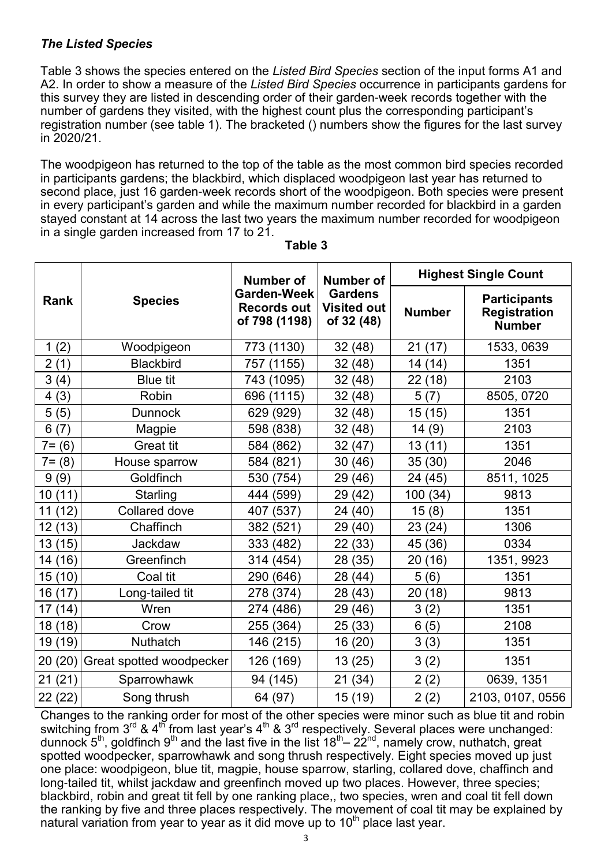## *The Listed Species*

Table 3 shows the species entered on the *Listed Bird Species* section of the input forms A1 and A2. In order to show a measure of the *Listed Bird Species* occurrence in participants gardens for this survey they are listed in descending order of their garden-week records together with the number of gardens they visited, with the highest count plus the corresponding participant's registration number (see table 1). The bracketed () numbers show the figures for the last survey in 2020/21.

The woodpigeon has returned to the top of the table as the most common bird species recorded in participants gardens; the blackbird, which displaced woodpigeon last year has returned to second place, just 16 garden-week records short of the woodpigeon. Both species were present in every participant's garden and while the maximum number recorded for blackbird in a garden stayed constant at 14 across the last two years the maximum number recorded for woodpigeon in a single garden increased from 17 to 21.

|           | <b>Species</b>           | <b>Number of</b><br><b>Garden-Week</b><br><b>Records out</b><br>of 798 (1198) | <b>Number of</b><br><b>Gardens</b><br><b>Visited out</b><br>of 32 (48) | <b>Highest Single Count</b> |                                                             |  |
|-----------|--------------------------|-------------------------------------------------------------------------------|------------------------------------------------------------------------|-----------------------------|-------------------------------------------------------------|--|
| Rank      |                          |                                                                               |                                                                        | <b>Number</b>               | <b>Participants</b><br><b>Registration</b><br><b>Number</b> |  |
| 1(2)      | Woodpigeon               | 773 (1130)                                                                    | 32(48)                                                                 | 21<br>(17)                  | 1533, 0639                                                  |  |
| 2(1)      | <b>Blackbird</b>         | 757 (1155)                                                                    | 32 (48)                                                                | 14 (14)                     | 1351                                                        |  |
| 3(4)      | <b>Blue tit</b>          | 743 (1095)                                                                    | 32 (48)                                                                | 22(18)                      | 2103                                                        |  |
| 4(3)      | Robin                    | 696 (1115)                                                                    | 32 (48)                                                                | 5(7)                        | 8505, 0720                                                  |  |
| 5(5)      | <b>Dunnock</b>           | 629 (929)                                                                     | 32 (48)                                                                | 15(15)                      | 1351                                                        |  |
| 6(7)      | Magpie                   | 598 (838)                                                                     | 32 (48)                                                                | 14(9)                       | 2103                                                        |  |
| $7 = (6)$ | <b>Great tit</b>         | 584 (862)                                                                     | 32 (47)                                                                | 13(11)                      | 1351                                                        |  |
| $7 = (8)$ | House sparrow            | 584 (821)                                                                     | 30 (46)                                                                | 35(30)                      | 2046                                                        |  |
| 9(9)      | Goldfinch                | 530 (754)                                                                     | 29 (46)                                                                | 24 (45)                     | 8511, 1025                                                  |  |
| 10 (11)   | Starling                 | 444 (599)                                                                     | 29<br>(42)                                                             | 100<br>(34)                 | 9813                                                        |  |
| 11(12)    | <b>Collared dove</b>     | 407 (537)                                                                     | 24 (40)                                                                | 15(8)                       | 1351                                                        |  |
| 12 (13)   | Chaffinch                | 382 (521)                                                                     | 29 (40)                                                                | (24)<br>23                  | 1306                                                        |  |
| 13 (15)   | Jackdaw                  | 333 (482)                                                                     | 22 (33)                                                                | 45<br>(36)                  | 0334                                                        |  |
| 14 (16)   | Greenfinch               | 314 (454)                                                                     | 28 (35)                                                                | 20<br>(16)                  | 1351, 9923                                                  |  |
| 15 (10)   | Coal tit                 | 290 (646)                                                                     | (44)<br>28                                                             | 5(6)                        | 1351                                                        |  |
| 16 (17)   | Long-tailed tit          | 278 (374)                                                                     | 28 (43)                                                                | 20(18)                      | 9813                                                        |  |
| 17 (14)   | Wren                     | 274 (486)                                                                     | 29 (46)                                                                | 3(2)                        | 1351                                                        |  |
| 18 (18)   | Crow                     | 255 (364)                                                                     | 25 (33)                                                                | (5)<br>6                    | 2108                                                        |  |
| 19 (19)   | Nuthatch                 | 146 (215)                                                                     | 16 (20)                                                                | 3(3)                        | 1351                                                        |  |
| 20 (20)   | Great spotted woodpecker | 126 (169)                                                                     | 13 (25)                                                                | 3(2)                        | 1351                                                        |  |
| 21(21)    | Sparrowhawk              | 94 (145)                                                                      | 21(34)                                                                 | 2(2)                        | 0639, 1351                                                  |  |
| 22 (22)   | Song thrush              | 64 (97)                                                                       | 15 (19)                                                                | 2(2)                        | 2103, 0107, 0556                                            |  |

**Table 3**

Changes to the ranking order for most of the other species were minor such as blue tit and robin switching from 3<sup>rd</sup> & 4<sup>th</sup> from last year's 4<sup>th</sup> & 3<sup>rd</sup> respectively. Several places were unchanged: dunnock 5<sup>th</sup>, goldfinch 9<sup>th</sup> and the last five in the list 18<sup>th</sup>– 22<sup>nd</sup>, namely crow, nuthatch, great spotted woodpecker, sparrowhawk and song thrush respectively. Eight species moved up just one place: woodpigeon, blue tit, magpie, house sparrow, starling, collared dove, chaffinch and long-tailed tit, whilst jackdaw and greenfinch moved up two places. However, three species; blackbird, robin and great tit fell by one ranking place,, two species, wren and coal tit fell down the ranking by five and three places respectively. The movement of coal tit may be explained by natural variation from year to year as it did move up to  $10<sup>th</sup>$  place last year.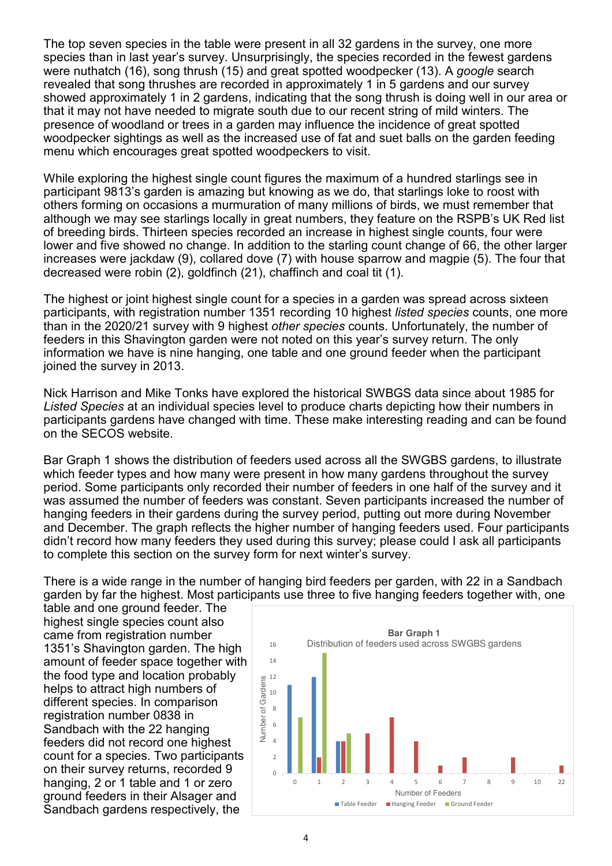The top seven species in the table were present in all 32 gardens in the survey, one more species than in last year's survey. Unsurprisingly, the species recorded in the fewest gardens were nuthatch (16), song thrush (15) and great spotted woodpecker (13). A *google* search revealed that song thrushes are recorded in approximately 1 in 5 gardens and our survey showed approximately 1 in 2 gardens, indicating that the song thrush is doing well in our area or that it may not have needed to migrate south due to our recent string of mild winters. The presence of woodland or trees in a garden may influence the incidence of great spotted woodpecker sightings as well as the increased use of fat and suet balls on the garden feeding menu which encourages great spotted woodpeckers to visit.

While exploring the highest single count figures the maximum of a hundred starlings see in participant 9813's garden is amazing but knowing as we do, that starlings loke to roost with others forming on occasions a murmuration of many millions of birds, we must remember that although we may see starlings locally in great numbers, they feature on the RSPB's UK Red list of breeding birds. Thirteen species recorded an increase in highest single counts, four were lower and five showed no change. In addition to the starling count change of 66, the other larger increases were jackdaw (9), collared dove (7) with house sparrow and magpie (5). The four that decreased were robin (2), goldfinch (21), chaffinch and coal tit (1).

The highest or joint highest single count for a species in a garden was spread across sixteen participants, with registration number 1351 recording 10 highest *listed species* counts, one more than in the 2020/21 survey with 9 highest *other species* counts. Unfortunately, the number of feeders in this Shavington garden were not noted on this year's survey return. The only information we have is nine hanging, one table and one ground feeder when the participant joined the survey in 2013.

Nick Harrison and Mike Tonks have explored the historical SWBGS data since about 1985 for *Listed Species* at an individual species level to produce charts depicting how their numbers in participants gardens have changed with time. These make interesting reading and can be found on the SECOS website.

Bar Graph 1 shows the distribution of feeders used across all the SWGBS gardens, to illustrate which feeder types and how many were present in how many gardens throughout the survey period. Some participants only recorded their number of feeders in one half of the survey and it was assumed the number of feeders was constant. Seven participants increased the number of hanging feeders in their gardens during the survey period, putting out more during November and December. The graph reflects the higher number of hanging feeders used. Four participants didn't record how many feeders they used during this survey; please could I ask all participants to complete this section on the survey form for next winter's survey.

There is a wide range in the number of hanging bird feeders per garden, with 22 in a Sandbach garden by far the highest. Most participants use three to five hanging feeders together with, one

table and one ground feeder. The highest single species count also came from registration number 1351's Shavington garden. The high amount of feeder space together with the food type and location probably helps to attract high numbers of different species. In comparison registration number 0838 in Sandbach with the 22 hanging feeders did not record one highest count for a species. Two participants on their survey returns, recorded 9 hanging, 2 or 1 table and 1 or zero ground feeders in their Alsager and Sandbach gardens respectively, the

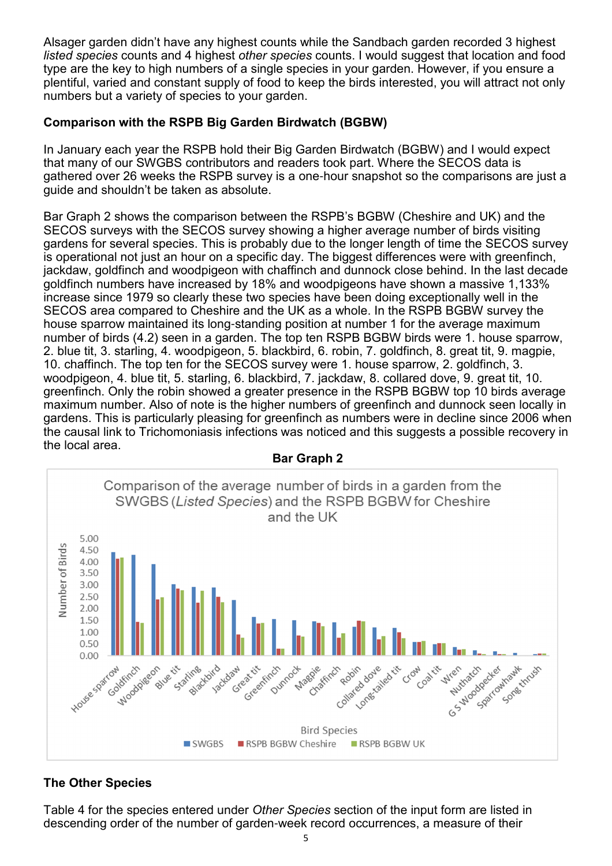Alsager garden didn't have any highest counts while the Sandbach garden recorded 3 highest *listed species* counts and 4 highest *other species* counts. I would suggest that location and food type are the key to high numbers of a single species in your garden. However, if you ensure a plentiful, varied and constant supply of food to keep the birds interested, you will attract not only numbers but a variety of species to your garden.

## **Comparison with the RSPB Big Garden Birdwatch (BGBW)**

In January each year the RSPB hold their Big Garden Birdwatch (BGBW) and I would expect that many of our SWGBS contributors and readers took part. Where the SECOS data is gathered over 26 weeks the RSPB survey is a one-hour snapshot so the comparisons are just a guide and shouldn't be taken as absolute.

Bar Graph 2 shows the comparison between the RSPB's BGBW (Cheshire and UK) and the SECOS surveys with the SECOS survey showing a higher average number of birds visiting gardens for several species. This is probably due to the longer length of time the SECOS survey is operational not just an hour on a specific day. The biggest differences were with greenfinch, jackdaw, goldfinch and woodpigeon with chaffinch and dunnock close behind. In the last decade goldfinch numbers have increased by 18% and woodpigeons have shown a massive 1,133% increase since 1979 so clearly these two species have been doing exceptionally well in the SECOS area compared to Cheshire and the UK as a whole. In the RSPB BGBW survey the house sparrow maintained its long-standing position at number 1 for the average maximum number of birds (4.2) seen in a garden. The top ten RSPB BGBW birds were 1. house sparrow, 2. blue tit, 3. starling, 4. woodpigeon, 5. blackbird, 6. robin, 7. goldfinch, 8. great tit, 9. magpie, 10. chaffinch. The top ten for the SECOS survey were 1. house sparrow, 2. goldfinch, 3. woodpigeon, 4. blue tit, 5. starling, 6. blackbird, 7. jackdaw, 8. collared dove, 9. great tit, 10. greenfinch. Only the robin showed a greater presence in the RSPB BGBW top 10 birds average maximum number. Also of note is the higher numbers of greenfinch and dunnock seen locally in gardens. This is particularly pleasing for greenfinch as numbers were in decline since 2006 when the causal link to Trichomoniasis infections was noticed and this suggests a possible recovery in the local area.



#### **Bar Graph 2**

# **The Other Species**

Table 4 for the species entered under *Other Species* section of the input form are listed in descending order of the number of garden-week record occurrences, a measure of their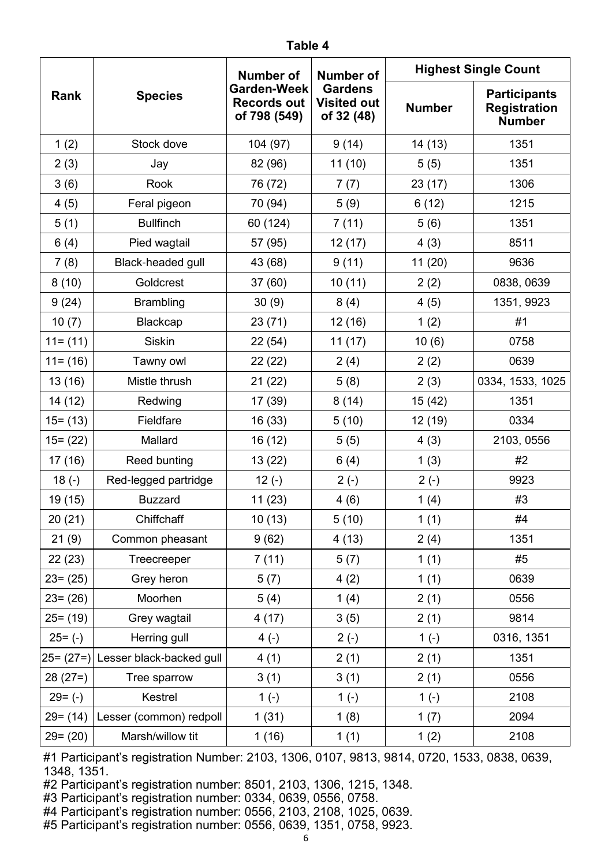|               | <b>Species</b>           | <b>Number of</b><br>Garden-Week<br><b>Records out</b><br>of 798 (549) | <b>Number of</b>                                   | <b>Highest Single Count</b> |                                                             |  |
|---------------|--------------------------|-----------------------------------------------------------------------|----------------------------------------------------|-----------------------------|-------------------------------------------------------------|--|
| Rank          |                          |                                                                       | <b>Gardens</b><br><b>Visited out</b><br>of 32 (48) | <b>Number</b>               | <b>Participants</b><br><b>Registration</b><br><b>Number</b> |  |
| 1(2)          | Stock dove               | 104 (97)                                                              | 9(14)                                              | 14 (13)                     | 1351                                                        |  |
| 2(3)          | Jay                      | 82 (96)                                                               | 11(10)                                             | 5(5)                        | 1351                                                        |  |
| 3(6)          | Rook                     | 76 (72)                                                               | 7(7)                                               | 23(17)                      | 1306                                                        |  |
| 4(5)          | Feral pigeon             | 70 (94)                                                               | 5(9)                                               | 6(12)                       | 1215                                                        |  |
| 5(1)          | <b>Bullfinch</b>         | 60 (124)                                                              | 7(11)                                              | 5(6)                        | 1351                                                        |  |
| 6(4)          | Pied wagtail             | 57 (95)                                                               | 12(17)                                             | 4(3)                        | 8511                                                        |  |
| 7(8)          | Black-headed gull        | 43 (68)                                                               | 9(11)                                              | 11(20)                      | 9636                                                        |  |
| 8(10)         | Goldcrest                | 37(60)                                                                | 10(11)                                             | 2(2)                        | 0838, 0639                                                  |  |
| 9(24)         | <b>Brambling</b>         | 30(9)                                                                 | 8(4)                                               | 4(5)                        | 1351, 9923                                                  |  |
| 10(7)         | <b>Blackcap</b>          | 23(71)                                                                | 12(16)                                             | 1(2)                        | #1                                                          |  |
| $11 = (11)$   | <b>Siskin</b>            | 22(54)                                                                | 11(17)                                             | 10(6)                       | 0758                                                        |  |
| $11 = (16)$   | Tawny owl                | 22(22)                                                                | 2(4)                                               | 2(2)                        | 0639                                                        |  |
| 13(16)        | Mistle thrush            | 21(22)                                                                | 5(8)                                               | 2(3)                        | 0334, 1533, 1025                                            |  |
| 14(12)        | Redwing                  | 17 (39)                                                               | 8(14)                                              | 15 (42)                     | 1351                                                        |  |
| $15 = (13)$   | Fieldfare                | 16(33)                                                                | 5(10)                                              | 12 (19)                     | 0334                                                        |  |
| $15 = (22)$   | Mallard                  | 16 (12)                                                               | 5(5)                                               | 4(3)                        | 2103, 0556                                                  |  |
| 17(16)        | <b>Reed bunting</b>      | 13 (22)                                                               | 6(4)                                               | 1(3)                        | #2                                                          |  |
| $18(-)$       | Red-legged partridge     | $12(-)$                                                               | $2(-)$                                             | $2(-)$                      | 9923                                                        |  |
| 19 (15)       | <b>Buzzard</b>           | 11(23)                                                                | 4(6)                                               | 1(4)                        | #3                                                          |  |
| 20(21)        | Chiffchaff               | 10(13)                                                                | 5(10)                                              | 1(1)                        | #4                                                          |  |
| 21(9)         | Common pheasant          | 9(62)                                                                 | 4(13)                                              | 2(4)                        | 1351                                                        |  |
| 22(23)        | Treecreeper              | 7(11)                                                                 | 5(7)                                               | 1(1)                        | #5                                                          |  |
| $23 = (25)$   | Grey heron               | 5(7)                                                                  | 4(2)                                               | 1(1)                        | 0639                                                        |  |
| $23 = (26)$   | Moorhen                  | 5(4)                                                                  | 1(4)                                               | 2(1)                        | 0556                                                        |  |
| $25 = (19)$   | Grey wagtail             | 4(17)                                                                 | 3(5)                                               | 2(1)                        | 9814                                                        |  |
| $25= (-)$     | Herring gull             | $4(-)$                                                                | $2(-)$                                             | $1(-)$                      | 0316, 1351                                                  |  |
| $25 = (27=) $ | Lesser black-backed gull | 4(1)                                                                  | 2(1)                                               | 2(1)                        | 1351                                                        |  |
| $28(27=)$     | Tree sparrow             | 3(1)                                                                  | 3(1)                                               | 2(1)                        | 0556                                                        |  |
| $29 = (-)$    | Kestrel                  | $1(-)$                                                                | $1(-)$                                             | $1(-)$                      | 2108                                                        |  |
| $29 = (14)$   | Lesser (common) redpoll  | 1(31)                                                                 | 1(8)                                               | 1(7)                        | 2094                                                        |  |
| $29 = (20)$   | Marsh/willow tit         | 1(16)                                                                 | 1(1)                                               | 1(2)                        | 2108                                                        |  |

#1 Participant's registration Number: 2103, 1306, 0107, 9813, 9814, 0720, 1533, 0838, 0639, 1348, 1351.

#2 Participant's registration number: 8501, 2103, 1306, 1215, 1348.

#3 Participant's registration number: 0334, 0639, 0556, 0758.

#4 Participant's registration number: 0556, 2103, 2108, 1025, 0639.

#5 Participant's registration number: 0556, 0639, 1351, 0758, 9923.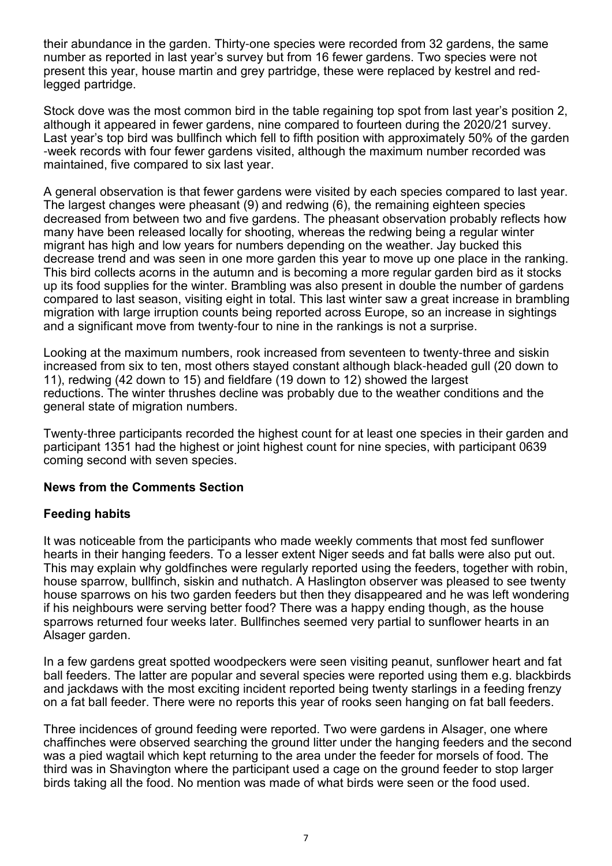their abundance in the garden. Thirty-one species were recorded from 32 gardens, the same number as reported in last year's survey but from 16 fewer gardens. Two species were not present this year, house martin and grey partridge, these were replaced by kestrel and redlegged partridge.

Stock dove was the most common bird in the table regaining top spot from last year's position 2, although it appeared in fewer gardens, nine compared to fourteen during the 2020/21 survey. Last year's top bird was bullfinch which fell to fifth position with approximately 50% of the garden -week records with four fewer gardens visited, although the maximum number recorded was maintained, five compared to six last year.

A general observation is that fewer gardens were visited by each species compared to last year. The largest changes were pheasant (9) and redwing (6), the remaining eighteen species decreased from between two and five gardens. The pheasant observation probably reflects how many have been released locally for shooting, whereas the redwing being a regular winter migrant has high and low years for numbers depending on the weather. Jay bucked this decrease trend and was seen in one more garden this year to move up one place in the ranking. This bird collects acorns in the autumn and is becoming a more regular garden bird as it stocks up its food supplies for the winter. Brambling was also present in double the number of gardens compared to last season, visiting eight in total. This last winter saw a great increase in brambling migration with large irruption counts being reported across Europe, so an increase in sightings and a significant move from twenty-four to nine in the rankings is not a surprise.

Looking at the maximum numbers, rook increased from seventeen to twenty-three and siskin increased from six to ten, most others stayed constant although black-headed gull (20 down to 11), redwing (42 down to 15) and fieldfare (19 down to 12) showed the largest reductions. The winter thrushes decline was probably due to the weather conditions and the general state of migration numbers.

Twenty-three participants recorded the highest count for at least one species in their garden and participant 1351 had the highest or joint highest count for nine species, with participant 0639 coming second with seven species.

# **News from the Comments Section**

# **Feeding habits**

It was noticeable from the participants who made weekly comments that most fed sunflower hearts in their hanging feeders. To a lesser extent Niger seeds and fat balls were also put out. This may explain why goldfinches were regularly reported using the feeders, together with robin, house sparrow, bullfinch, siskin and nuthatch. A Haslington observer was pleased to see twenty house sparrows on his two garden feeders but then they disappeared and he was left wondering if his neighbours were serving better food? There was a happy ending though, as the house sparrows returned four weeks later. Bullfinches seemed very partial to sunflower hearts in an Alsager garden.

In a few gardens great spotted woodpeckers were seen visiting peanut, sunflower heart and fat ball feeders. The latter are popular and several species were reported using them e.g. blackbirds and jackdaws with the most exciting incident reported being twenty starlings in a feeding frenzy on a fat ball feeder. There were no reports this year of rooks seen hanging on fat ball feeders.

Three incidences of ground feeding were reported. Two were gardens in Alsager, one where chaffinches were observed searching the ground litter under the hanging feeders and the second was a pied wagtail which kept returning to the area under the feeder for morsels of food. The third was in Shavington where the participant used a cage on the ground feeder to stop larger birds taking all the food. No mention was made of what birds were seen or the food used.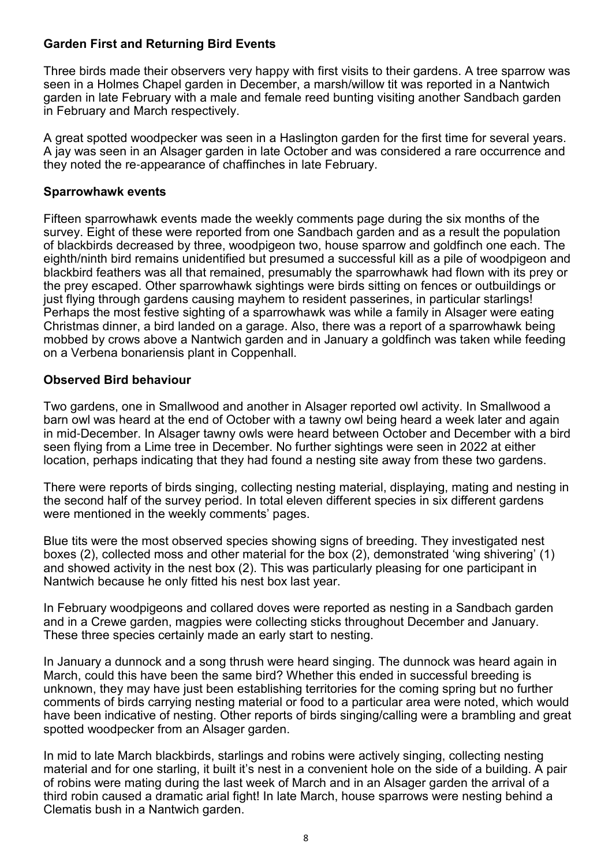### **Garden First and Returning Bird Events**

Three birds made their observers very happy with first visits to their gardens. A tree sparrow was seen in a Holmes Chapel garden in December, a marsh/willow tit was reported in a Nantwich garden in late February with a male and female reed bunting visiting another Sandbach garden in February and March respectively.

A great spotted woodpecker was seen in a Haslington garden for the first time for several years. A jay was seen in an Alsager garden in late October and was considered a rare occurrence and they noted the re-appearance of chaffinches in late February.

#### **Sparrowhawk events**

Fifteen sparrowhawk events made the weekly comments page during the six months of the survey. Eight of these were reported from one Sandbach garden and as a result the population of blackbirds decreased by three, woodpigeon two, house sparrow and goldfinch one each. The eighth/ninth bird remains unidentified but presumed a successful kill as a pile of woodpigeon and blackbird feathers was all that remained, presumably the sparrowhawk had flown with its prey or the prey escaped. Other sparrowhawk sightings were birds sitting on fences or outbuildings or just flying through gardens causing mayhem to resident passerines, in particular starlings! Perhaps the most festive sighting of a sparrowhawk was while a family in Alsager were eating Christmas dinner, a bird landed on a garage. Also, there was a report of a sparrowhawk being mobbed by crows above a Nantwich garden and in January a goldfinch was taken while feeding on a Verbena bonariensis plant in Coppenhall.

### **Observed Bird behaviour**

Two gardens, one in Smallwood and another in Alsager reported owl activity. In Smallwood a barn owl was heard at the end of October with a tawny owl being heard a week later and again in mid-December. In Alsager tawny owls were heard between October and December with a bird seen flying from a Lime tree in December. No further sightings were seen in 2022 at either location, perhaps indicating that they had found a nesting site away from these two gardens.

There were reports of birds singing, collecting nesting material, displaying, mating and nesting in the second half of the survey period. In total eleven different species in six different gardens were mentioned in the weekly comments' pages.

Blue tits were the most observed species showing signs of breeding. They investigated nest boxes (2), collected moss and other material for the box (2), demonstrated 'wing shivering' (1) and showed activity in the nest box (2). This was particularly pleasing for one participant in Nantwich because he only fitted his nest box last year.

In February woodpigeons and collared doves were reported as nesting in a Sandbach garden and in a Crewe garden, magpies were collecting sticks throughout December and January. These three species certainly made an early start to nesting.

In January a dunnock and a song thrush were heard singing. The dunnock was heard again in March, could this have been the same bird? Whether this ended in successful breeding is unknown, they may have just been establishing territories for the coming spring but no further comments of birds carrying nesting material or food to a particular area were noted, which would have been indicative of nesting. Other reports of birds singing/calling were a brambling and great spotted woodpecker from an Alsager garden.

In mid to late March blackbirds, starlings and robins were actively singing, collecting nesting material and for one starling, it built it's nest in a convenient hole on the side of a building. A pair of robins were mating during the last week of March and in an Alsager garden the arrival of a third robin caused a dramatic arial fight! In late March, house sparrows were nesting behind a Clematis bush in a Nantwich garden.